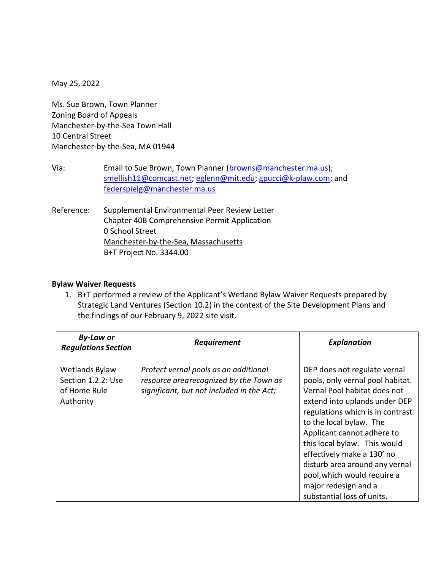May 25, 2022

Ms. Sue Brown, Town Planner Zoning Board of Appeals Manchester-by-the-Sea Town Hall 10 Central Street Manchester-by-the-Sea, MA 01944

- Via: Email to Sue Brown, Town Planner [\(browns@manchester.ma.us\)](mailto:browns@manchester.ma.us); [smellish11@comcast.net;](mailto:smellish11@comcast.net) [eglenn@mit.edu;](mailto:eglenn@mit.edu) [gpucci@k-plaw.com;](mailto:gpucci@k-plaw.com) and [federspielg@manchester.ma.us](mailto:federspielg@manchester.ma.us)
- Reference: Supplemental Environmental Peer Review Letter Chapter 40B Comprehensive Permit Application 0 School Street Manchester-by-the-Sea, Massachusetts B+T Project No. 3344.00

#### **Bylaw Waiver Requests**

1. B+T performed a review of the Applicant's Wetland Bylaw Waiver Requests prepared by Strategic Land Ventures (Section 10.2) in the context of the Site Development Plans and the findings of our February 9, 2022 site visit.

| <b>By-Law or</b><br><b>Regulations Section</b> | Requirement                               | <b>Explanation</b>               |
|------------------------------------------------|-------------------------------------------|----------------------------------|
|                                                |                                           |                                  |
| Wetlands Bylaw                                 | Protect vernal pools as an additional     | DEP does not regulate vernal     |
| Section 1.2.2: Use                             | resource arearecognized by the Town as    | pools, only vernal pool habitat. |
| of Home Rule                                   | significant, but not included in the Act; | Vernal Pool habitat does not     |
| Authority                                      |                                           | extend into uplands under DEP    |
|                                                |                                           | regulations which is in contrast |
|                                                |                                           | to the local bylaw. The          |
|                                                |                                           | Applicant cannot adhere to       |
|                                                |                                           | this local bylaw. This would     |
|                                                |                                           | effectively make a 130' no       |
|                                                |                                           | disturb area around any vernal   |
|                                                |                                           | pool, which would require a      |
|                                                |                                           | major redesign and a             |
|                                                |                                           | substantial loss of units.       |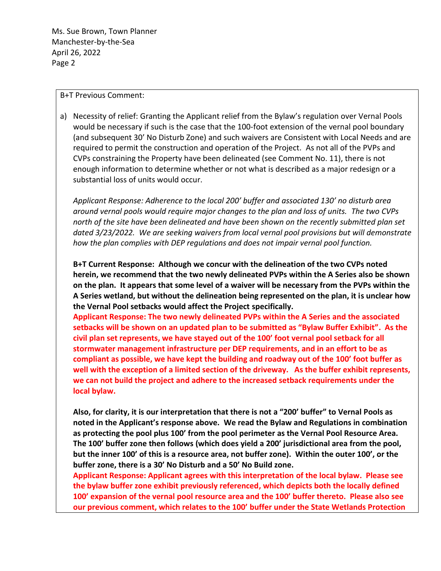#### B+T Previous Comment:

a) Necessity of relief: Granting the Applicant relief from the Bylaw's regulation over Vernal Pools would be necessary if such is the case that the 100-foot extension of the vernal pool boundary (and subsequent 30' No Disturb Zone) and such waivers are Consistent with Local Needs and are required to permit the construction and operation of the Project. As not all of the PVPs and CVPs constraining the Property have been delineated (see Comment No. 11), there is not enough information to determine whether or not what is described as a major redesign or a substantial loss of units would occur.

*Applicant Response: Adherence to the local 200' buffer and associated 130' no disturb area around vernal pools would require major changes to the plan and loss of units. The two CVPs north of the site have been delineated and have been shown on the recently submitted plan set dated 3/23/2022. We are seeking waivers from local vernal pool provisions but will demonstrate how the plan complies with DEP regulations and does not impair vernal pool function.*

**B+T Current Response: Although we concur with the delineation of the two CVPs noted herein, we recommend that the two newly delineated PVPs within the A Series also be shown on the plan. It appears that some level of a waiver will be necessary from the PVPs within the A Series wetland, but without the delineation being represented on the plan, it is unclear how the Vernal Pool setbacks would affect the Project specifically.**

**Applicant Response: The two newly delineated PVPs within the A Series and the associated setbacks will be shown on an updated plan to be submitted as "Bylaw Buffer Exhibit". As the civil plan set represents, we have stayed out of the 100' foot vernal pool setback for all stormwater management infrastructure per DEP requirements, and in an effort to be as compliant as possible, we have kept the building and roadway out of the 100' foot buffer as well with the exception of a limited section of the driveway. As the buffer exhibit represents, we can not build the project and adhere to the increased setback requirements under the local bylaw.** 

**Also, for clarity, it is our interpretation that there is not a "200' buffer" to Vernal Pools as noted in the Applicant's response above. We read the Bylaw and Regulations in combination as protecting the pool plus 100' from the pool perimeter as the Vernal Pool Resource Area. The 100' buffer zone then follows (which does yield a 200' jurisdictional area from the pool, but the inner 100' of this is a resource area, not buffer zone). Within the outer 100', or the buffer zone, there is a 30' No Disturb and a 50' No Build zone.**

**Applicant Response: Applicant agrees with this interpretation of the local bylaw. Please see the bylaw buffer zone exhibit previously referenced, which depicts both the locally defined 100' expansion of the vernal pool resource area and the 100' buffer thereto. Please also see our previous comment, which relates to the 100' buffer under the State Wetlands Protection**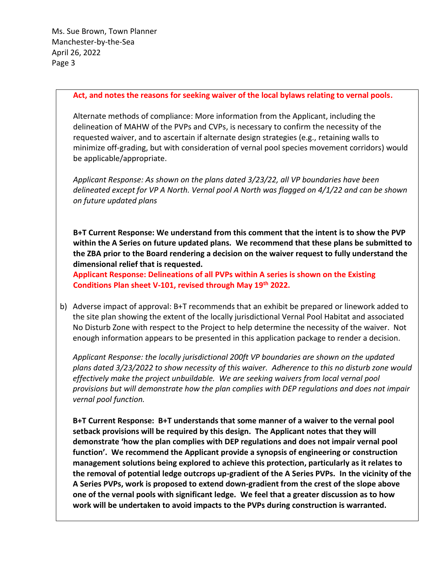#### **Act, and notes the reasons for seeking waiver of the local bylaws relating to vernal pools.**

Alternate methods of compliance: More information from the Applicant, including the delineation of MAHW of the PVPs and CVPs, is necessary to confirm the necessity of the requested waiver, and to ascertain if alternate design strategies (e.g., retaining walls to minimize off-grading, but with consideration of vernal pool species movement corridors) would be applicable/appropriate.

*Applicant Response: As shown on the plans dated 3/23/22, all VP boundaries have been delineated except for VP A North. Vernal pool A North was flagged on 4/1/22 and can be shown on future updated plans*

**B+T Current Response: We understand from this comment that the intent is to show the PVP within the A Series on future updated plans. We recommend that these plans be submitted to the ZBA prior to the Board rendering a decision on the waiver request to fully understand the dimensional relief that is requested.**

**Applicant Response: Delineations of all PVPs within A series is shown on the Existing Conditions Plan sheet V-101, revised through May 19th 2022.**

b) Adverse impact of approval: B+T recommends that an exhibit be prepared or linework added to the site plan showing the extent of the locally jurisdictional Vernal Pool Habitat and associated No Disturb Zone with respect to the Project to help determine the necessity of the waiver. Not enough information appears to be presented in this application package to render a decision.

*Applicant Response: the locally jurisdictional 200ft VP boundaries are shown on the updated plans dated 3/23/2022 to show necessity of this waiver. Adherence to this no disturb zone would effectively make the project unbuildable. We are seeking waivers from local vernal pool provisions but will demonstrate how the plan complies with DEP regulations and does not impair vernal pool function.*

**B+T Current Response: B+T understands that some manner of a waiver to the vernal pool setback provisions will be required by this design. The Applicant notes that they will demonstrate 'how the plan complies with DEP regulations and does not impair vernal pool function'. We recommend the Applicant provide a synopsis of engineering or construction management solutions being explored to achieve this protection, particularly as it relates to the removal of potential ledge outcrops up-gradient of the A Series PVPs. In the vicinity of the A Series PVPs, work is proposed to extend down-gradient from the crest of the slope above one of the vernal pools with significant ledge. We feel that a greater discussion as to how work will be undertaken to avoid impacts to the PVPs during construction is warranted.**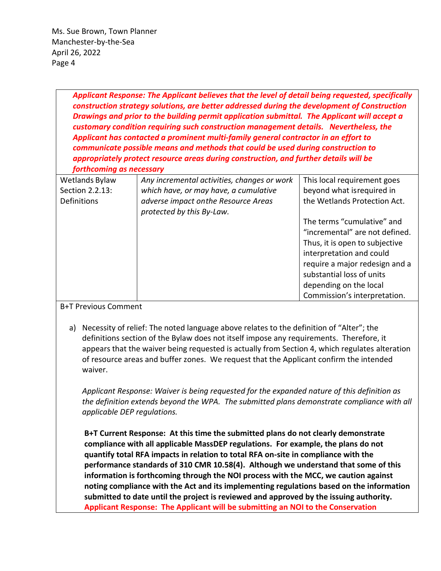| Applicant Response: The Applicant believes that the level of detail being requested, specifically<br>construction strategy solutions, are better addressed during the development of Construction<br>Drawings and prior to the building permit application submittal. The Applicant will accept a<br>customary condition requiring such construction management details. Nevertheless, the<br>Applicant has contacted a prominent multi-family general contractor in an effort to<br>communicate possible means and methods that could be used during construction to<br>appropriately protect resource areas during construction, and further details will be<br>forthcoming as necessary |                                                                                                                                                           |                                                                                                                                                                                                                                                                                                                 |
|--------------------------------------------------------------------------------------------------------------------------------------------------------------------------------------------------------------------------------------------------------------------------------------------------------------------------------------------------------------------------------------------------------------------------------------------------------------------------------------------------------------------------------------------------------------------------------------------------------------------------------------------------------------------------------------------|-----------------------------------------------------------------------------------------------------------------------------------------------------------|-----------------------------------------------------------------------------------------------------------------------------------------------------------------------------------------------------------------------------------------------------------------------------------------------------------------|
| Wetlands Bylaw<br>Section 2.2.13:<br>Definitions                                                                                                                                                                                                                                                                                                                                                                                                                                                                                                                                                                                                                                           | Any incremental activities, changes or work<br>which have, or may have, a cumulative<br>adverse impact on the Resource Areas<br>protected by this By-Law. | This local requirement goes<br>beyond what isrequired in<br>the Wetlands Protection Act.<br>The terms "cumulative" and<br>"incremental" are not defined.<br>Thus, it is open to subjective<br>interpretation and could<br>require a major redesign and a<br>substantial loss of units<br>depending on the local |

#### B+T Previous Comment

a) Necessity of relief: The noted language above relates to the definition of "Alter"; the definitions section of the Bylaw does not itself impose any requirements. Therefore, it appears that the waiver being requested is actually from Section 4, which regulates alteration of resource areas and buffer zones. We request that the Applicant confirm the intended waiver.

*Applicant Response: Waiver is being requested for the expanded nature of this definition as the definition extends beyond the WPA. The submitted plans demonstrate compliance with all applicable DEP regulations.*

**B+T Current Response: At this time the submitted plans do not clearly demonstrate compliance with all applicable MassDEP regulations. For example, the plans do not quantify total RFA impacts in relation to total RFA on-site in compliance with the performance standards of 310 CMR 10.58(4). Although we understand that some of this information is forthcoming through the NOI process with the MCC, we caution against noting compliance with the Act and its implementing regulations based on the information submitted to date until the project is reviewed and approved by the issuing authority. Applicant Response: The Applicant will be submitting an NOI to the Conservation**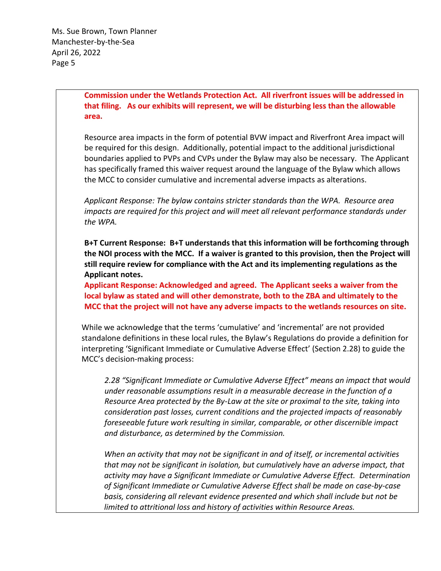**Commission under the Wetlands Protection Act. All riverfront issues will be addressed in that filing. As our exhibits will represent, we will be disturbing less than the allowable area.** 

Resource area impacts in the form of potential BVW impact and Riverfront Area impact will be required for this design. Additionally, potential impact to the additional jurisdictional boundaries applied to PVPs and CVPs under the Bylaw may also be necessary. The Applicant has specifically framed this waiver request around the language of the Bylaw which allows the MCC to consider cumulative and incremental adverse impacts as alterations.

*Applicant Response: The bylaw contains stricter standards than the WPA. Resource area impacts are required for this project and will meet all relevant performance standards under the WPA.*

**B+T Current Response: B+T understands that this information will be forthcoming through the NOI process with the MCC. If a waiver is granted to this provision, then the Project will still require review for compliance with the Act and its implementing regulations as the Applicant notes.**

**Applicant Response: Acknowledged and agreed. The Applicant seeks a waiver from the local bylaw as stated and will other demonstrate, both to the ZBA and ultimately to the MCC that the project will not have any adverse impacts to the wetlands resources on site.**

While we acknowledge that the terms 'cumulative' and 'incremental' are not provided standalone definitions in these local rules, the Bylaw's Regulations do provide a definition for interpreting 'Significant Immediate or Cumulative Adverse Effect' (Section 2.28) to guide the MCC's decision-making process:

*2.28 "Significant Immediate or Cumulative Adverse Effect" means an impact that would under reasonable assumptions result in a measurable decrease in the function of a Resource Area protected by the By-Law at the site or proximal to the site, taking into consideration past losses, current conditions and the projected impacts of reasonably foreseeable future work resulting in similar, comparable, or other discernible impact and disturbance, as determined by the Commission.* 

*When an activity that may not be significant in and of itself, or incremental activities that may not be significant in isolation, but cumulatively have an adverse impact, that activity may have a Significant Immediate or Cumulative Adverse Effect. Determination of Significant Immediate or Cumulative Adverse Effect shall be made on case-by-case basis, considering all relevant evidence presented and which shall include but not be limited to attritional loss and history of activities within Resource Areas.*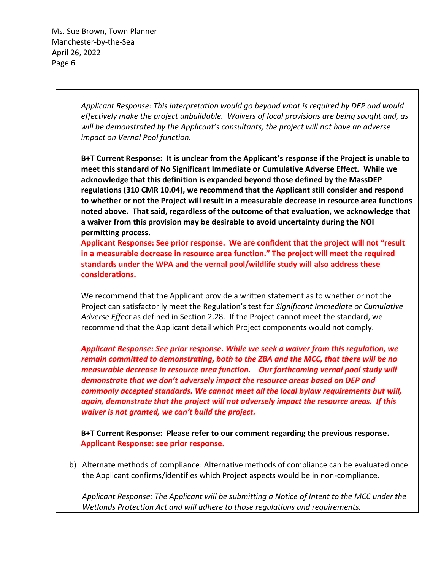> *Applicant Response: This interpretation would go beyond what is required by DEP and would effectively make the project unbuildable. Waivers of local provisions are being sought and, as will be demonstrated by the Applicant's consultants, the project will not have an adverse impact on Vernal Pool function.*

**B+T Current Response: It is unclear from the Applicant's response if the Project is unable to meet this standard of No Significant Immediate or Cumulative Adverse Effect. While we acknowledge that this definition is expanded beyond those defined by the MassDEP regulations (310 CMR 10.04), we recommend that the Applicant still consider and respond to whether or not the Project will result in a measurable decrease in resource area functions noted above. That said, regardless of the outcome of that evaluation, we acknowledge that a waiver from this provision may be desirable to avoid uncertainty during the NOI permitting process.**

**Applicant Response: See prior response. We are confident that the project will not "result in a measurable decrease in resource area function." The project will meet the required standards under the WPA and the vernal pool/wildlife study will also address these considerations.** 

We recommend that the Applicant provide a written statement as to whether or not the Project can satisfactorily meet the Regulation's test for *Significant Immediate or Cumulative Adverse Effect* as defined in Section 2.28. If the Project cannot meet the standard, we recommend that the Applicant detail which Project components would not comply.

*Applicant Response: See prior response. While we seek a waiver from this regulation, we remain committed to demonstrating, both to the ZBA and the MCC, that there will be no measurable decrease in resource area function. Our forthcoming vernal pool study will demonstrate that we don't adversely impact the resource areas based on DEP and commonly accepted standards. We cannot meet all the local bylaw requirements but will, again, demonstrate that the project will not adversely impact the resource areas. If this waiver is not granted, we can't build the project.*

**B+T Current Response: Please refer to our comment regarding the previous response. Applicant Response: see prior response.**

b) Alternate methods of compliance: Alternative methods of compliance can be evaluated once the Applicant confirms/identifies which Project aspects would be in non-compliance.

*Applicant Response: The Applicant will be submitting a Notice of Intent to the MCC under the Wetlands Protection Act and will adhere to those regulations and requirements.*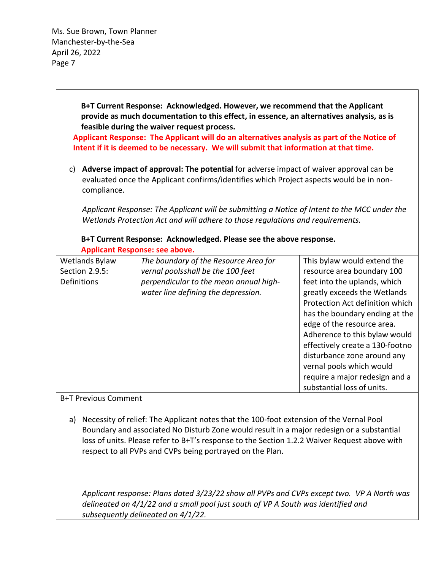> **B+T Current Response: Acknowledged. However, we recommend that the Applicant provide as much documentation to this effect, in essence, an alternatives analysis, as is feasible during the waiver request process.**

**Applicant Response: The Applicant will do an alternatives analysis as part of the Notice of Intent if it is deemed to be necessary. We will submit that information at that time.**

c) **Adverse impact of approval: The potential** for adverse impact of waiver approval can be evaluated once the Applicant confirms/identifies which Project aspects would be in noncompliance.

*Applicant Response: The Applicant will be submitting a Notice of Intent to the MCC under the Wetlands Protection Act and will adhere to those regulations and requirements.*

**B+T Current Response: Acknowledged. Please see the above response. Applicant Response: see above.** 

| Wetlands Bylaw | The boundary of the Resource Area for  | This bylaw would extend the     |
|----------------|----------------------------------------|---------------------------------|
| Section 2.9.5: | vernal poolsshall be the 100 feet      | resource area boundary 100      |
| Definitions    | perpendicular to the mean annual high- | feet into the uplands, which    |
|                | water line defining the depression.    | greatly exceeds the Wetlands    |
|                |                                        | Protection Act definition which |
|                |                                        | has the boundary ending at the  |
|                |                                        | edge of the resource area.      |
|                |                                        | Adherence to this bylaw would   |
|                |                                        | effectively create a 130-footno |
|                |                                        | disturbance zone around any     |
|                |                                        | vernal pools which would        |
|                |                                        | require a major redesign and a  |
|                |                                        | substantial loss of units.      |

B+T Previous Comment

a) Necessity of relief: The Applicant notes that the 100-foot extension of the Vernal Pool Boundary and associated No Disturb Zone would result in a major redesign or a substantial loss of units. Please refer to B+T's response to the Section 1.2.2 Waiver Request above with respect to all PVPs and CVPs being portrayed on the Plan.

*Applicant response: Plans dated 3/23/22 show all PVPs and CVPs except two. VP A North was delineated on 4/1/22 and a small pool just south of VP A South was identified and subsequently delineated on 4/1/22.*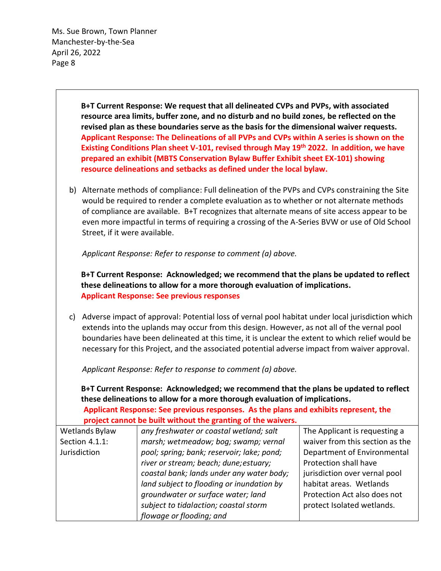> **B+T Current Response: We request that all delineated CVPs and PVPs, with associated resource area limits, buffer zone, and no disturb and no build zones, be reflected on the revised plan as these boundaries serve as the basis for the dimensional waiver requests. Applicant Response: The Delineations of all PVPs and CVPs within A series is shown on the Existing Conditions Plan sheet V-101, revised through May 19th 2022. In addition, we have prepared an exhibit (MBTS Conservation Bylaw Buffer Exhibit sheet EX-101) showing resource delineations and setbacks as defined under the local bylaw.**

b) Alternate methods of compliance: Full delineation of the PVPs and CVPs constraining the Site would be required to render a complete evaluation as to whether or not alternate methods of compliance are available. B+T recognizes that alternate means of site access appear to be even more impactful in terms of requiring a crossing of the A-Series BVW or use of Old School Street, if it were available.

*Applicant Response: Refer to response to comment (a) above.*

**B+T Current Response: Acknowledged; we recommend that the plans be updated to reflect these delineations to allow for a more thorough evaluation of implications. Applicant Response: See previous responses**

c) Adverse impact of approval: Potential loss of vernal pool habitat under local jurisdiction which extends into the uplands may occur from this design. However, as not all of the vernal pool boundaries have been delineated at this time, it is unclear the extent to which relief would be necessary for this Project, and the associated potential adverse impact from waiver approval.

*Applicant Response: Refer to response to comment (a) above.*

**B+T Current Response: Acknowledged; we recommend that the plans be updated to reflect these delineations to allow for a more thorough evaluation of implications.**

**Applicant Response: See previous responses. As the plans and exhibits represent, the project cannot be built without the granting of the waivers.**

| Wetlands Bylaw | any freshwater or coastal wetland; salt    | The Applicant is requesting a   |
|----------------|--------------------------------------------|---------------------------------|
| Section 4.1.1: | marsh; wetmeadow; bog; swamp; vernal       | waiver from this section as the |
| Jurisdiction   | pool; spring; bank; reservoir; lake; pond; | Department of Environmental     |
|                | river or stream; beach; dune; estuary;     | Protection shall have           |
|                | coastal bank; lands under any water body;  | jurisdiction over vernal pool   |
|                | land subject to flooding or inundation by  | habitat areas. Wetlands         |
|                | groundwater or surface water; land         | Protection Act also does not    |
|                | subject to tidalaction; coastal storm      | protect Isolated wetlands.      |
|                | flowage or flooding; and                   |                                 |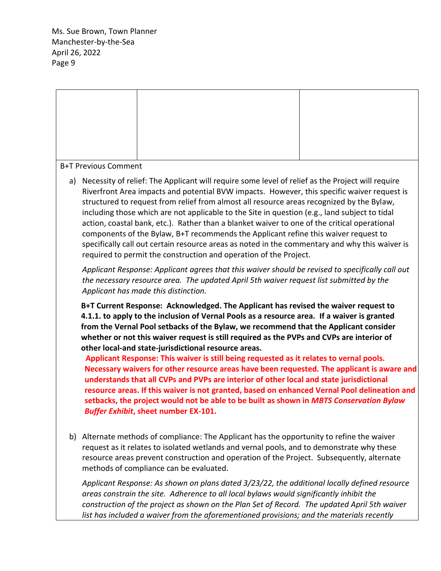#### B+T Previous Comment

a) Necessity of relief: The Applicant will require some level of relief as the Project will require Riverfront Area impacts and potential BVW impacts. However, this specific waiver request is structured to request from relief from almost all resource areas recognized by the Bylaw, including those which are not applicable to the Site in question (e.g., land subject to tidal action, coastal bank, etc.). Rather than a blanket waiver to one of the critical operational components of the Bylaw, B+T recommends the Applicant refine this waiver request to specifically call out certain resource areas as noted in the commentary and why this waiver is required to permit the construction and operation of the Project.

*Applicant Response: Applicant agrees that this waiver should be revised to specifically call out the necessary resource area. The updated April 5th waiver request list submitted by the Applicant has made this distinction.*

**B+T Current Response: Acknowledged. The Applicant has revised the waiver request to 4.1.1. to apply to the inclusion of Vernal Pools as a resource area. If a waiver is granted from the Vernal Pool setbacks of the Bylaw, we recommend that the Applicant consider whether or not this waiver request is still required as the PVPs and CVPs are interior of other local-and state-jurisdictional resource areas.**

 **Applicant Response: This waiver is still being requested as it relates to vernal pools. Necessary waivers for other resource areas have been requested. The applicant is aware and understands that all CVPs and PVPs are interior of other local and state jurisdictional resource areas. If this waiver is not granted, based on enhanced Vernal Pool delineation and setbacks, the project would not be able to be built as shown in** *MBTS Conservation Bylaw Buffer Exhibit***, sheet number EX-101.** 

b) Alternate methods of compliance: The Applicant has the opportunity to refine the waiver request as it relates to isolated wetlands and vernal pools, and to demonstrate why these resource areas prevent construction and operation of the Project. Subsequently, alternate methods of compliance can be evaluated.

*Applicant Response: As shown on plans dated 3/23/22, the additional locally defined resource areas constrain the site. Adherence to all local bylaws would significantly inhibit the construction of the project as shown on the Plan Set of Record. The updated April 5th waiver list has included a waiver from the aforementioned provisions; and the materials recently*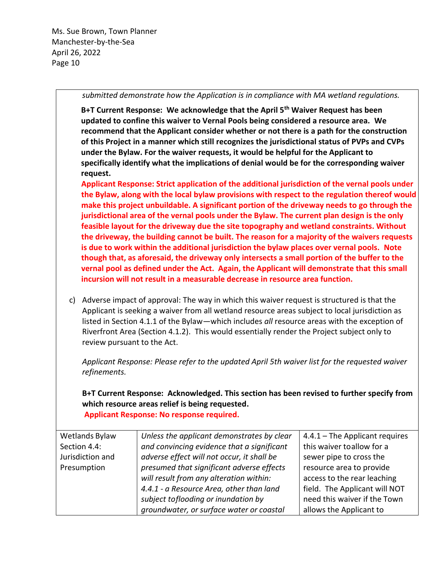#### *submitted demonstrate how the Application is in compliance with MA wetland regulations.*

**B+T Current Response: We acknowledge that the April 5th Waiver Request has been updated to confine this waiver to Vernal Pools being considered a resource area. We recommend that the Applicant consider whether or not there is a path for the construction of this Project in a manner which still recognizes the jurisdictional status of PVPs and CVPs under the Bylaw. For the waiver requests, it would be helpful for the Applicant to specifically identify what the implications of denial would be for the corresponding waiver request.**

**Applicant Response: Strict application of the additional jurisdiction of the vernal pools under the Bylaw, along with the local bylaw provisions with respect to the regulation thereof would make this project unbuildable. A significant portion of the driveway needs to go through the jurisdictional area of the vernal pools under the Bylaw. The current plan design is the only feasible layout for the driveway due the site topography and wetland constraints. Without the driveway, the building cannot be built. The reason for a majority of the waivers requests is due to work within the additional jurisdiction the bylaw places over vernal pools. Note though that, as aforesaid, the driveway only intersects a small portion of the buffer to the vernal pool as defined under the Act. Again, the Applicant will demonstrate that this small incursion will not result in a measurable decrease in resource area function.**

c) Adverse impact of approval: The way in which this waiver request is structured is that the Applicant is seeking a waiver from all wetland resource areas subject to local jurisdiction as listed in Section 4.1.1 of the Bylaw—which includes *all* resource areas with the exception of Riverfront Area (Section 4.1.2). This would essentially render the Project subject only to review pursuant to the Act.

*Applicant Response: Please refer to the updated April 5th waiver list for the requested waiver refinements.*

**B+T Current Response: Acknowledged. This section has been revised to further specify from which resource areas relief is being requested.**

**Applicant Response: No response required.** 

| Wetlands Bylaw   | Unless the applicant demonstrates by clear | $4.4.1$ – The Applicant requires |
|------------------|--------------------------------------------|----------------------------------|
| Section 4.4:     | and convincing evidence that a significant | this waiver toallow for a        |
| Jurisdiction and | adverse effect will not occur, it shall be | sewer pipe to cross the          |
| Presumption      | presumed that significant adverse effects  | resource area to provide         |
|                  | will result from any alteration within:    | access to the rear leaching      |
|                  | 4.4.1 - a Resource Area, other than land   | field. The Applicant will NOT    |
|                  | subject toflooding or inundation by        | need this waiver if the Town     |
|                  | groundwater, or surface water or coastal   | allows the Applicant to          |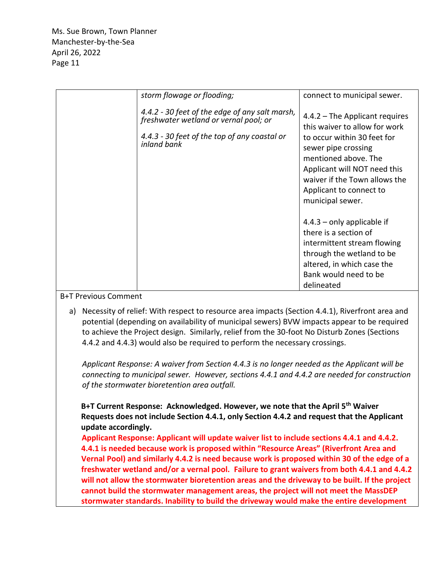| storm flowage or flooding;                                                                                                                             | connect to municipal sewer.                                                                                                                                                                                                                                     |
|--------------------------------------------------------------------------------------------------------------------------------------------------------|-----------------------------------------------------------------------------------------------------------------------------------------------------------------------------------------------------------------------------------------------------------------|
| 4.4.2 - 30 feet of the edge of any salt marsh,<br>freshwater wetland or vernal pool; or<br>4.4.3 - 30 feet of the top of any coastal or<br>inland bank | $4.4.2$ – The Applicant requires<br>this waiver to allow for work<br>to occur within 30 feet for<br>sewer pipe crossing<br>mentioned above. The<br>Applicant will NOT need this<br>waiver if the Town allows the<br>Applicant to connect to<br>municipal sewer. |
|                                                                                                                                                        | $4.4.3$ – only applicable if<br>there is a section of<br>intermittent stream flowing<br>through the wetland to be<br>altered, in which case the<br>Bank would need to be<br>delineated                                                                          |

#### B+T Previous Comment

a) Necessity of relief: With respect to resource area impacts (Section 4.4.1), Riverfront area and potential (depending on availability of municipal sewers) BVW impacts appear to be required to achieve the Project design. Similarly, relief from the 30-foot No Disturb Zones (Sections 4.4.2 and 4.4.3) would also be required to perform the necessary crossings.

*Applicant Response: A waiver from Section 4.4.3 is no longer needed as the Applicant will be connecting to municipal sewer. However, sections 4.4.1 and 4.4.2 are needed for construction of the stormwater bioretention area outfall.*

**B+T Current Response: Acknowledged. However, we note that the April 5th Waiver Requests does not include Section 4.4.1, only Section 4.4.2 and request that the Applicant update accordingly.**

 **Applicant Response: Applicant will update waiver list to include sections 4.4.1 and 4.4.2. 4.4.1 is needed because work is proposed within "Resource Areas" (Riverfront Area and Vernal Pool) and similarly 4.4.2 is need because work is proposed within 30 of the edge of a freshwater wetland and/or a vernal pool. Failure to grant waivers from both 4.4.1 and 4.4.2 will not allow the stormwater bioretention areas and the driveway to be built. If the project cannot build the stormwater management areas, the project will not meet the MassDEP stormwater standards. Inability to build the driveway would make the entire development**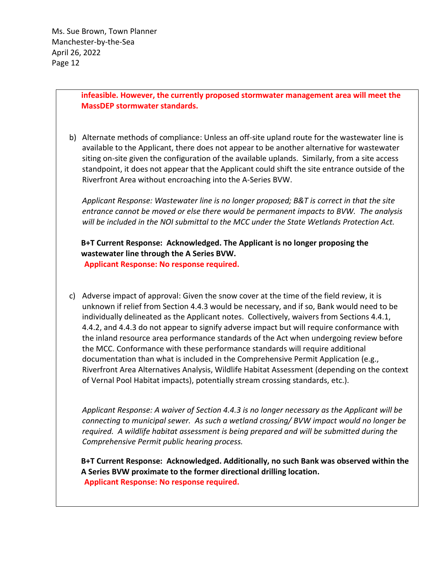**infeasible. However, the currently proposed stormwater management area will meet the MassDEP stormwater standards.**

b) Alternate methods of compliance: Unless an off-site upland route for the wastewater line is available to the Applicant, there does not appear to be another alternative for wastewater siting on-site given the configuration of the available uplands. Similarly, from a site access standpoint, it does not appear that the Applicant could shift the site entrance outside of the Riverfront Area without encroaching into the A-Series BVW.

*Applicant Response: Wastewater line is no longer proposed; B&T is correct in that the site entrance cannot be moved or else there would be permanent impacts to BVW. The analysis will be included in the NOI submittal to the MCC under the State Wetlands Protection Act.*

# **B+T Current Response: Acknowledged. The Applicant is no longer proposing the wastewater line through the A Series BVW.**

**Applicant Response: No response required.** 

c) Adverse impact of approval: Given the snow cover at the time of the field review, it is unknown if relief from Section 4.4.3 would be necessary, and if so, Bank would need to be individually delineated as the Applicant notes. Collectively, waivers from Sections 4.4.1, 4.4.2, and 4.4.3 do not appear to signify adverse impact but will require conformance with the inland resource area performance standards of the Act when undergoing review before the MCC. Conformance with these performance standards will require additional documentation than what is included in the Comprehensive Permit Application (e.g., Riverfront Area Alternatives Analysis, Wildlife Habitat Assessment (depending on the context of Vernal Pool Habitat impacts), potentially stream crossing standards, etc.).

*Applicant Response: A waiver of Section 4.4.3 is no longer necessary as the Applicant will be connecting to municipal sewer. As such a wetland crossing/ BVW impact would no longer be required. A wildlife habitat assessment is being prepared and will be submitted during the Comprehensive Permit public hearing process.*

**B+T Current Response: Acknowledged. Additionally, no such Bank was observed within the A Series BVW proximate to the former directional drilling location. Applicant Response: No response required.**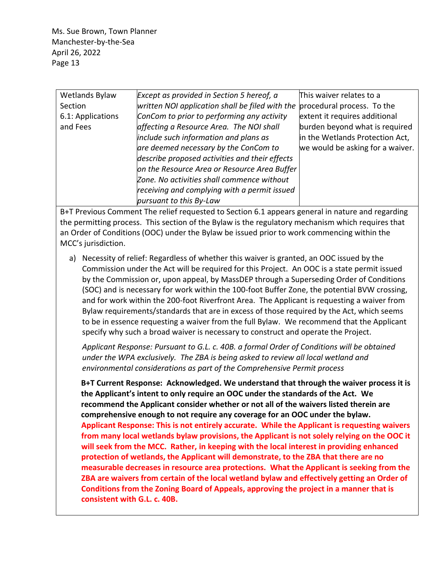| Wetlands Bylaw    | Except as provided in Section 5 hereof, a       | This waiver relates to a         |
|-------------------|-------------------------------------------------|----------------------------------|
|                   |                                                 |                                  |
| Section           | written NOI application shall be filed with the | procedural process. To the       |
| 6.1: Applications | ConCom to prior to performing any activity      | extent it requires additional    |
| and Fees          | affecting a Resource Area. The NOI shall        | burden beyond what is required   |
|                   | include such information and plans as           | in the Wetlands Protection Act,  |
|                   | are deemed necessary by the ConCom to           | we would be asking for a waiver. |
|                   | describe proposed activities and their effects  |                                  |
|                   | on the Resource Area or Resource Area Buffer    |                                  |
|                   | Zone. No activities shall commence without      |                                  |
|                   | receiving and complying with a permit issued    |                                  |
|                   | pursuant to this By-Law                         |                                  |

B+T Previous Comment The relief requested to Section 6.1 appears general in nature and regarding the permitting process. This section of the Bylaw is the regulatory mechanism which requires that an Order of Conditions (OOC) under the Bylaw be issued prior to work commencing within the MCC's jurisdiction.

a) Necessity of relief: Regardless of whether this waiver is granted, an OOC issued by the Commission under the Act will be required for this Project. An OOC is a state permit issued by the Commission or, upon appeal, by MassDEP through a Superseding Order of Conditions (SOC) and is necessary for work within the 100-foot Buffer Zone, the potential BVW crossing, and for work within the 200-foot Riverfront Area. The Applicant is requesting a waiver from Bylaw requirements/standards that are in excess of those required by the Act, which seems to be in essence requesting a waiver from the full Bylaw. We recommend that the Applicant specify why such a broad waiver is necessary to construct and operate the Project.

*Applicant Response: Pursuant to G.L. c. 40B. a formal Order of Conditions will be obtained under the WPA exclusively. The ZBA is being asked to review all local wetland and environmental considerations as part of the Comprehensive Permit process*

**B+T Current Response: Acknowledged. We understand that through the waiver process it is the Applicant's intent to only require an OOC under the standards of the Act. We recommend the Applicant consider whether or not all of the waivers listed therein are comprehensive enough to not require any coverage for an OOC under the bylaw. Applicant Response: This is not entirely accurate. While the Applicant is requesting waivers from many local wetlands bylaw provisions, the Applicant is not solely relying on the OOC it will seek from the MCC. Rather, in keeping with the local interest in providing enhanced protection of wetlands, the Applicant will demonstrate, to the ZBA that there are no measurable decreases in resource area protections. What the Applicant is seeking from the ZBA are waivers from certain of the local wetland bylaw and effectively getting an Order of Conditions from the Zoning Board of Appeals, approving the project in a manner that is consistent with G.L. c. 40B.**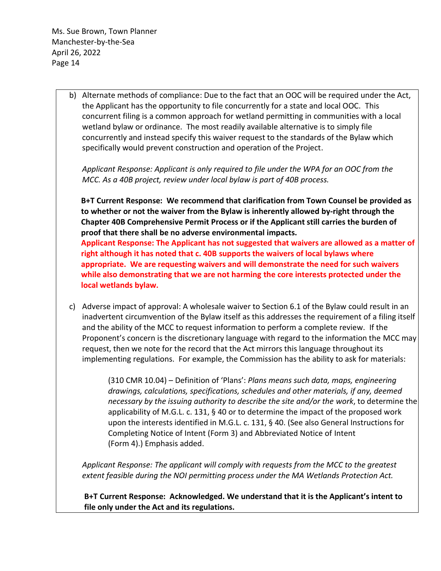**local wetlands bylaw.**

b) Alternate methods of compliance: Due to the fact that an OOC will be required under the Act, the Applicant has the opportunity to file concurrently for a state and local OOC. This concurrent filing is a common approach for wetland permitting in communities with a local wetland bylaw or ordinance. The most readily available alternative is to simply file concurrently and instead specify this waiver request to the standards of the Bylaw which specifically would prevent construction and operation of the Project.

*Applicant Response: Applicant is only required to file under the WPA for an OOC from the MCC. As a 40B project, review under local bylaw is part of 40B process.*

**B+T Current Response: We recommend that clarification from Town Counsel be provided as to whether or not the waiver from the Bylaw is inherently allowed by-right through the Chapter 40B Comprehensive Permit Process or if the Applicant still carries the burden of proof that there shall be no adverse environmental impacts. Applicant Response: The Applicant has not suggested that waivers are allowed as a matter of right although it has noted that c. 40B supports the waivers of local bylaws where appropriate. We are requesting waivers and will demonstrate the need for such waivers while also demonstrating that we are not harming the core interests protected under the** 

c) Adverse impact of approval: A wholesale waiver to Section 6.1 of the Bylaw could result in an inadvertent circumvention of the Bylaw itself as this addresses the requirement of a filing itself and the ability of the MCC to request information to perform a complete review. If the Proponent's concern is the discretionary language with regard to the information the MCC may request, then we note for the record that the Act mirrors this language throughout its implementing regulations. For example, the Commission has the ability to ask for materials:

> (310 CMR 10.04) – Definition of 'Plans': *Plans means such data, maps, engineering drawings, calculations, specifications, schedules and other materials, if any, deemed necessary by the issuing authority to describe the site and/or the work*, to determine the applicability of M.G.L. c. 131, § 40 or to determine the impact of the proposed work upon the interests identified in M.G.L. c. 131, § 40. (See also General Instructions for Completing Notice of Intent (Form 3) and Abbreviated Notice of Intent (Form 4).) Emphasis added.

*Applicant Response: The applicant will comply with requests from the MCC to the greatest extent feasible during the NOI permitting process under the MA Wetlands Protection Act.*

**B+T Current Response: Acknowledged. We understand that it is the Applicant's intent to file only under the Act and its regulations.**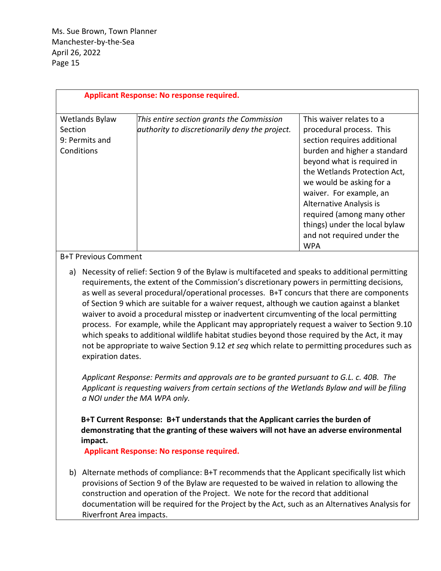| <b>Applicant Response: No response required.</b>          |                                                                                             |                                                                                                                                                                                                                                                                                                                                                                         |
|-----------------------------------------------------------|---------------------------------------------------------------------------------------------|-------------------------------------------------------------------------------------------------------------------------------------------------------------------------------------------------------------------------------------------------------------------------------------------------------------------------------------------------------------------------|
| Wetlands Bylaw<br>Section<br>9: Permits and<br>Conditions | This entire section grants the Commission<br>authority to discretionarily deny the project. | This waiver relates to a<br>procedural process. This<br>section requires additional<br>burden and higher a standard<br>beyond what is required in<br>the Wetlands Protection Act,<br>we would be asking for a<br>waiver. For example, an<br>Alternative Analysis is<br>required (among many other<br>things) under the local bylaw<br>and not required under the<br>WPA |

#### B+T Previous Comment

a) Necessity of relief: Section 9 of the Bylaw is multifaceted and speaks to additional permitting requirements, the extent of the Commission's discretionary powers in permitting decisions, as well as several procedural/operational processes. B+T concurs that there are components of Section 9 which are suitable for a waiver request, although we caution against a blanket waiver to avoid a procedural misstep or inadvertent circumventing of the local permitting process. For example, while the Applicant may appropriately request a waiver to Section 9.10 which speaks to additional wildlife habitat studies beyond those required by the Act, it may not be appropriate to waive Section 9.12 *et seq* which relate to permitting procedures such as expiration dates.

*Applicant Response: Permits and approvals are to be granted pursuant to G.L. c. 40B. The Applicant is requesting waivers from certain sections of the Wetlands Bylaw and will be filing a NOI under the MA WPA only.*

**B+T Current Response: B+T understands that the Applicant carries the burden of demonstrating that the granting of these waivers will not have an adverse environmental impact.**

**Applicant Response: No response required.**

b) Alternate methods of compliance: B+T recommends that the Applicant specifically list which provisions of Section 9 of the Bylaw are requested to be waived in relation to allowing the construction and operation of the Project. We note for the record that additional documentation will be required for the Project by the Act, such as an Alternatives Analysis for Riverfront Area impacts.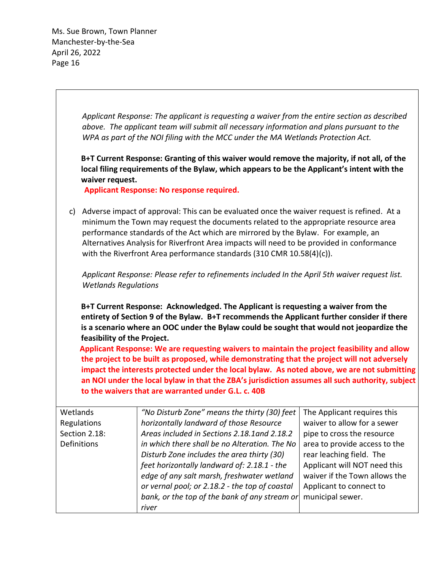> *Applicant Response: The applicant is requesting a waiver from the entire section as described above. The applicant team will submit all necessary information and plans pursuant to the WPA as part of the NOI filing with the MCC under the MA Wetlands Protection Act.*

> **B+T Current Response: Granting of this waiver would remove the majority, if not all, of the local filing requirements of the Bylaw, which appears to be the Applicant's intent with the waiver request.**

**Applicant Response: No response required.** 

c) Adverse impact of approval: This can be evaluated once the waiver request is refined. At a minimum the Town may request the documents related to the appropriate resource area performance standards of the Act which are mirrored by the Bylaw. For example, an Alternatives Analysis for Riverfront Area impacts will need to be provided in conformance with the Riverfront Area performance standards (310 CMR 10.58(4)(c)).

*Applicant Response: Please refer to refinements included In the April 5th waiver request list. Wetlands Regulations*

**B+T Current Response: Acknowledged. The Applicant is requesting a waiver from the entirety of Section 9 of the Bylaw. B+T recommends the Applicant further consider if there is a scenario where an OOC under the Bylaw could be sought that would not jeopardize the feasibility of the Project.** 

 **Applicant Response: We are requesting waivers to maintain the project feasibility and allow the project to be built as proposed, while demonstrating that the project will not adversely impact the interests protected under the local bylaw. As noted above, we are not submitting an NOI under the local bylaw in that the ZBA's jurisdiction assumes all such authority, subject to the waivers that are warranted under G.L. c. 40B**

| Wetlands      | "No Disturb Zone" means the thirty (30) feet   | The Applicant requires this   |
|---------------|------------------------------------------------|-------------------------------|
| Regulations   | horizontally landward of those Resource        | waiver to allow for a sewer   |
| Section 2.18: | Areas included in Sections 2.18.1and 2.18.2    | pipe to cross the resource    |
| Definitions   | in which there shall be no Alteration. The No  | area to provide access to the |
|               | Disturb Zone includes the area thirty (30)     | rear leaching field. The      |
|               | feet horizontally landward of: 2.18.1 - the    | Applicant will NOT need this  |
|               | edge of any salt marsh, freshwater wetland     | waiver if the Town allows the |
|               | or vernal pool; or 2.18.2 - the top of coastal | Applicant to connect to       |
|               | bank, or the top of the bank of any stream or  | municipal sewer.              |
|               | river                                          |                               |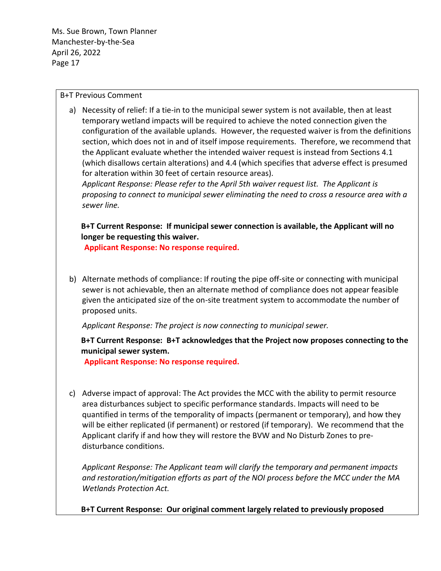B+T Previous Comment

a) Necessity of relief: If a tie-in to the municipal sewer system is not available, then at least temporary wetland impacts will be required to achieve the noted connection given the configuration of the available uplands. However, the requested waiver is from the definitions section, which does not in and of itself impose requirements. Therefore, we recommend that the Applicant evaluate whether the intended waiver request is instead from Sections 4.1 (which disallows certain alterations) and 4.4 (which specifies that adverse effect is presumed for alteration within 30 feet of certain resource areas).

*Applicant Response: Please refer to the April 5th waiver request list. The Applicant is proposing to connect to municipal sewer eliminating the need to cross a resource area with a sewer line.*

**B+T Current Response: If municipal sewer connection is available, the Applicant will no longer be requesting this waiver.** 

**Applicant Response: No response required.**

b) Alternate methods of compliance: If routing the pipe off-site or connecting with municipal sewer is not achievable, then an alternate method of compliance does not appear feasible given the anticipated size of the on-site treatment system to accommodate the number of proposed units.

*Applicant Response: The project is now connecting to municipal sewer.*

**B+T Current Response: B+T acknowledges that the Project now proposes connecting to the municipal sewer system.** 

**Applicant Response: No response required.**

c) Adverse impact of approval: The Act provides the MCC with the ability to permit resource area disturbances subject to specific performance standards. Impacts will need to be quantified in terms of the temporality of impacts (permanent or temporary), and how they will be either replicated (if permanent) or restored (if temporary). We recommend that the Applicant clarify if and how they will restore the BVW and No Disturb Zones to predisturbance conditions.

*Applicant Response: The Applicant team will clarify the temporary and permanent impacts and restoration/mitigation efforts as part of the NOI process before the MCC under the MA Wetlands Protection Act.*

**B+T Current Response: Our original comment largely related to previously proposed**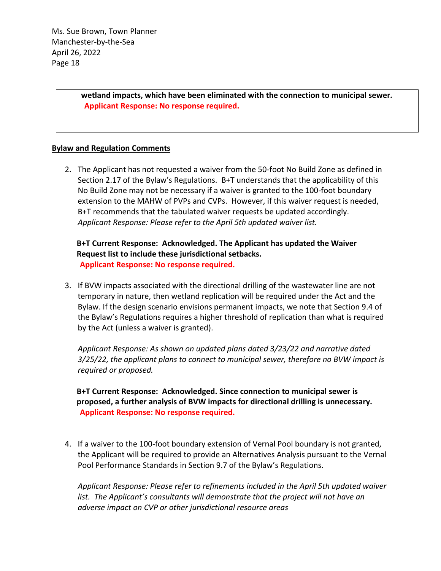> **wetland impacts, which have been eliminated with the connection to municipal sewer. Applicant Response: No response required.**

#### **Bylaw and Regulation Comments**

2. The Applicant has not requested a waiver from the 50-foot No Build Zone as defined in Section 2.17 of the Bylaw's Regulations. B+T understands that the applicability of this No Build Zone may not be necessary if a waiver is granted to the 100-foot boundary extension to the MAHW of PVPs and CVPs. However, if this waiver request is needed, B+T recommends that the tabulated waiver requests be updated accordingly. *Applicant Response: Please refer to the April 5th updated waiver list.*

**B+T Current Response: Acknowledged. The Applicant has updated the Waiver Request list to include these jurisdictional setbacks. Applicant Response: No response required.**

3. If BVW impacts associated with the directional drilling of the wastewater line are not temporary in nature, then wetland replication will be required under the Act and the Bylaw. If the design scenario envisions permanent impacts, we note that Section 9.4 of the Bylaw's Regulations requires a higher threshold of replication than what is required by the Act (unless a waiver is granted).

*Applicant Response: As shown on updated plans dated 3/23/22 and narrative dated 3/25/22, the applicant plans to connect to municipal sewer, therefore no BVW impact is required or proposed.*

**B+T Current Response: Acknowledged. Since connection to municipal sewer is proposed, a further analysis of BVW impacts for directional drilling is unnecessary. Applicant Response: No response required.**

4. If a waiver to the 100-foot boundary extension of Vernal Pool boundary is not granted, the Applicant will be required to provide an Alternatives Analysis pursuant to the Vernal Pool Performance Standards in Section 9.7 of the Bylaw's Regulations.

*Applicant Response: Please refer to refinements included in the April 5th updated waiver list. The Applicant's consultants will demonstrate that the project will not have an adverse impact on CVP or other jurisdictional resource areas*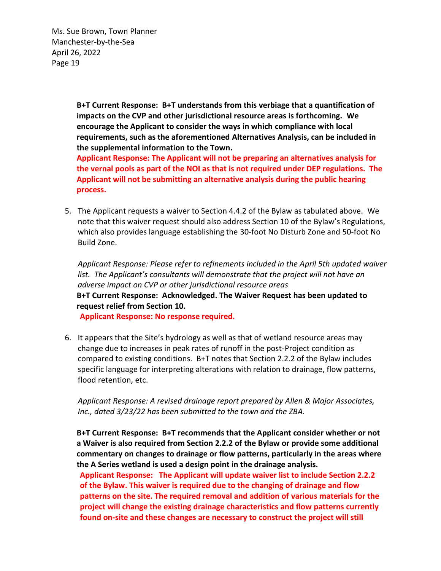> **B+T Current Response: B+T understands from this verbiage that a quantification of impacts on the CVP and other jurisdictional resource areas is forthcoming. We encourage the Applicant to consider the ways in which compliance with local requirements, such as the aforementioned Alternatives Analysis, can be included in the supplemental information to the Town.**

**Applicant Response: The Applicant will not be preparing an alternatives analysis for the vernal pools as part of the NOI as that is not required under DEP regulations. The Applicant will not be submitting an alternative analysis during the public hearing process.** 

5. The Applicant requests a waiver to Section 4.4.2 of the Bylaw as tabulated above. We note that this waiver request should also address Section 10 of the Bylaw's Regulations, which also provides language establishing the 30-foot No Disturb Zone and 50-foot No Build Zone.

*Applicant Response: Please refer to refinements included in the April 5th updated waiver list. The Applicant's consultants will demonstrate that the project will not have an adverse impact on CVP or other jurisdictional resource areas* **B+T Current Response: Acknowledged. The Waiver Request has been updated to request relief from Section 10.**

**Applicant Response: No response required.** 

6. It appears that the Site's hydrology as well as that of wetland resource areas may change due to increases in peak rates of runoff in the post-Project condition as compared to existing conditions. B+T notes that Section 2.2.2 of the Bylaw includes specific language for interpreting alterations with relation to drainage, flow patterns, flood retention, etc.

*Applicant Response: A revised drainage report prepared by Allen & Major Associates, Inc., dated 3/23/22 has been submitted to the town and the ZBA.*

**B+T Current Response: B+T recommends that the Applicant consider whether or not a Waiver is also required from Section 2.2.2 of the Bylaw or provide some additional commentary on changes to drainage or flow patterns, particularly in the areas where the A Series wetland is used a design point in the drainage analysis.**

**Applicant Response: The Applicant will update waiver list to include Section 2.2.2 of the Bylaw. This waiver is required due to the changing of drainage and flow patterns on the site. The required removal and addition of various materials for the project will change the existing drainage characteristics and flow patterns currently found on-site and these changes are necessary to construct the project will still**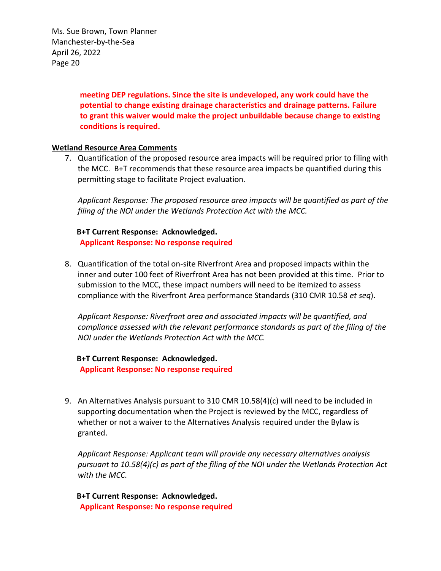> **meeting DEP regulations. Since the site is undeveloped, any work could have the potential to change existing drainage characteristics and drainage patterns. Failure to grant this waiver would make the project unbuildable because change to existing conditions is required.**

#### **Wetland Resource Area Comments**

7. Quantification of the proposed resource area impacts will be required prior to filing with the MCC. B+T recommends that these resource area impacts be quantified during this permitting stage to facilitate Project evaluation.

*Applicant Response: The proposed resource area impacts will be quantified as part of the filing of the NOI under the Wetlands Protection Act with the MCC.*

**B+T Current Response: Acknowledged. Applicant Response: No response required**

8. Quantification of the total on-site Riverfront Area and proposed impacts within the inner and outer 100 feet of Riverfront Area has not been provided at this time. Prior to submission to the MCC, these impact numbers will need to be itemized to assess compliance with the Riverfront Area performance Standards (310 CMR 10.58 *et seq*).

*Applicant Response: Riverfront area and associated impacts will be quantified, and compliance assessed with the relevant performance standards as part of the filing of the NOI under the Wetlands Protection Act with the MCC.*

**B+T Current Response: Acknowledged. Applicant Response: No response required**

9. An Alternatives Analysis pursuant to 310 CMR 10.58(4)(c) will need to be included in supporting documentation when the Project is reviewed by the MCC, regardless of whether or not a waiver to the Alternatives Analysis required under the Bylaw is granted.

*Applicant Response: Applicant team will provide any necessary alternatives analysis pursuant to 10.58(4)(c) as part of the filing of the NOI under the Wetlands Protection Act with the MCC.*

**B+T Current Response: Acknowledged. Applicant Response: No response required**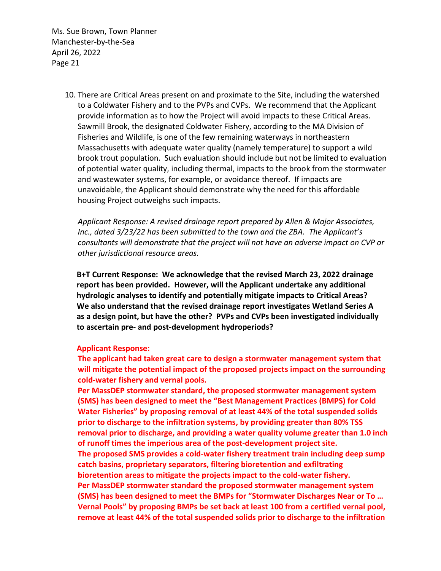> 10. There are Critical Areas present on and proximate to the Site, including the watershed to a Coldwater Fishery and to the PVPs and CVPs. We recommend that the Applicant provide information as to how the Project will avoid impacts to these Critical Areas. Sawmill Brook, the designated Coldwater Fishery, according to the MA Division of Fisheries and Wildlife, is one of the few remaining waterways in northeastern Massachusetts with adequate water quality (namely temperature) to support a wild brook trout population. Such evaluation should include but not be limited to evaluation of potential water quality, including thermal, impacts to the brook from the stormwater and wastewater systems, for example, or avoidance thereof. If impacts are unavoidable, the Applicant should demonstrate why the need for this affordable housing Project outweighs such impacts.

*Applicant Response: A revised drainage report prepared by Allen & Major Associates, Inc., dated 3/23/22 has been submitted to the town and the ZBA. The Applicant's consultants will demonstrate that the project will not have an adverse impact on CVP or other jurisdictional resource areas.*

**B+T Current Response: We acknowledge that the revised March 23, 2022 drainage report has been provided. However, will the Applicant undertake any additional hydrologic analyses to identify and potentially mitigate impacts to Critical Areas? We also understand that the revised drainage report investigates Wetland Series A as a design point, but have the other? PVPs and CVPs been investigated individually to ascertain pre- and post-development hydroperiods?**

#### **Applicant Response:**

**The applicant had taken great care to design a stormwater management system that will mitigate the potential impact of the proposed projects impact on the surrounding cold-water fishery and vernal pools.**

**Per MassDEP stormwater standard, the proposed stormwater management system (SMS) has been designed to meet the "Best Management Practices (BMPS) for Cold Water Fisheries" by proposing removal of at least 44% of the total suspended solids prior to discharge to the infiltration systems, by providing greater than 80% TSS removal prior to discharge, and providing a water quality volume greater than 1.0 inch of runoff times the imperious area of the post-development project site. The proposed SMS provides a cold-water fishery treatment train including deep sump catch basins, proprietary separators, filtering bioretention and exfiltrating bioretention areas to mitigate the projects impact to the cold-water fishery. Per MassDEP stormwater standard the proposed stormwater management system (SMS) has been designed to meet the BMPs for "Stormwater Discharges Near or To … Vernal Pools" by proposing BMPs be set back at least 100 from a certified vernal pool, remove at least 44% of the total suspended solids prior to discharge to the infiltration**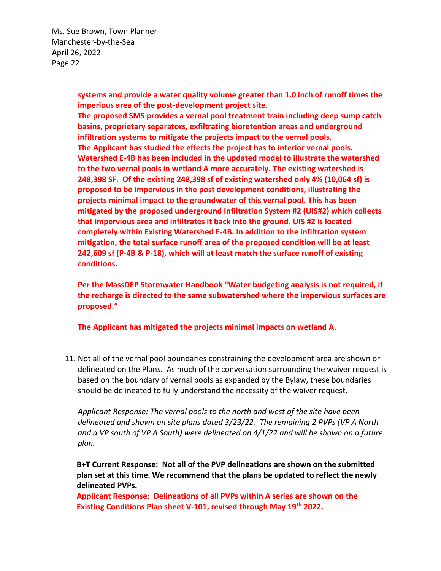> **systems and provide a water quality volume greater than 1.0 inch of runoff times the imperious area of the post-development project site.**

> **The proposed SMS provides a vernal pool treatment train including deep sump catch basins, proprietary separators, exfiltrating bioretention areas and underground infiltration systems to mitigate the projects impact to the vernal pools. The Applicant has studied the effects the project has to interior vernal pools. Watershed E-4B has been included in the updated model to illustrate the watershed to the two vernal pools in wetland A more accurately. The existing watershed is 248,398 SF. Of the existing 248,398 sf of existing watershed only 4% (10,064 sf) is proposed to be impervious in the post development conditions, illustrating the projects minimal impact to the groundwater of this vernal pool. This has been mitigated by the proposed underground Infiltration System #2 (UIS#2) which collects that impervious area and infiltrates it back into the ground. UIS #2 is located completely within Existing Watershed E-4B. In addition to the infiltration system mitigation, the total surface runoff area of the proposed condition will be at least 242,609 sf (P-4B & P-18), which will at least match the surface runoff of existing conditions.**

**Per the MassDEP Stormwater Handbook "Water budgeting analysis is not required, if the recharge is directed to the same subwatershed where the impervious surfaces are proposed."**

**The Applicant has mitigated the projects minimal impacts on wetland A.** 

11. Not all of the vernal pool boundaries constraining the development area are shown or delineated on the Plans. As much of the conversation surrounding the waiver request is based on the boundary of vernal pools as expanded by the Bylaw, these boundaries should be delineated to fully understand the necessity of the waiver request.

*Applicant Response: The vernal pools to the north and west of the site have been delineated and shown on site plans dated 3/23/22. The remaining 2 PVPs (VP A North and a VP south of VP A South) were delineated on 4/1/22 and will be shown on a future plan.*

**B+T Current Response: Not all of the PVP delineations are shown on the submitted plan set at this time. We recommend that the plans be updated to reflect the newly delineated PVPs.** 

**Applicant Response: Delineations of all PVPs within A series are shown on the Existing Conditions Plan sheet V-101, revised through May 19th 2022.**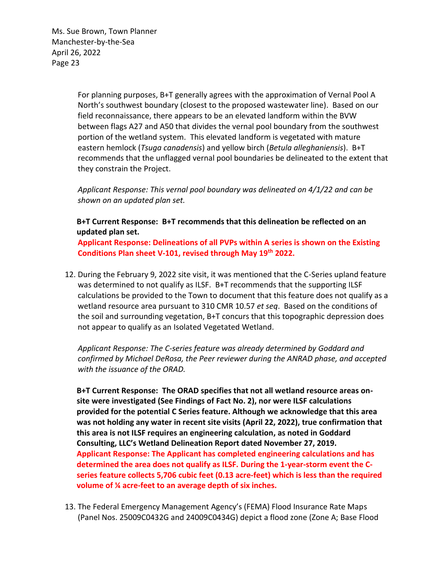> For planning purposes, B+T generally agrees with the approximation of Vernal Pool A North's southwest boundary (closest to the proposed wastewater line). Based on our field reconnaissance, there appears to be an elevated landform within the BVW between flags A27 and A50 that divides the vernal pool boundary from the southwest portion of the wetland system. This elevated landform is vegetated with mature eastern hemlock (*Tsuga canadensis*) and yellow birch (*Betula alleghaniensis*). B+T recommends that the unflagged vernal pool boundaries be delineated to the extent that they constrain the Project.

*Applicant Response: This vernal pool boundary was delineated on 4/1/22 and can be shown on an updated plan set.*

# **B+T Current Response: B+T recommends that this delineation be reflected on an updated plan set.**

**Applicant Response: Delineations of all PVPs within A series is shown on the Existing Conditions Plan sheet V-101, revised through May 19th 2022.**

12. During the February 9, 2022 site visit, it was mentioned that the C-Series upland feature was determined to not qualify as ILSF. B+T recommends that the supporting ILSF calculations be provided to the Town to document that this feature does not qualify as a wetland resource area pursuant to 310 CMR 10.57 *et seq*. Based on the conditions of the soil and surrounding vegetation, B+T concurs that this topographic depression does not appear to qualify as an Isolated Vegetated Wetland.

*Applicant Response: The C-series feature was already determined by Goddard and confirmed by Michael DeRosa, the Peer reviewer during the ANRAD phase, and accepted with the issuance of the ORAD.*

**B+T Current Response: The ORAD specifies that not all wetland resource areas onsite were investigated (See Findings of Fact No. 2), nor were ILSF calculations provided for the potential C Series feature. Although we acknowledge that this area was not holding any water in recent site visits (April 22, 2022), true confirmation that this area is not ILSF requires an engineering calculation, as noted in Goddard Consulting, LLC's Wetland Delineation Report dated November 27, 2019. Applicant Response: The Applicant has completed engineering calculations and has determined the area does not qualify as ILSF. During the 1-year-storm event the Cseries feature collects 5,706 cubic feet (0.13 acre-feet) which is less than the required volume of ¼ acre-feet to an average depth of six inches.** 

13. The Federal Emergency Management Agency's (FEMA) Flood Insurance Rate Maps (Panel Nos. 25009C0432G and 24009C0434G) depict a flood zone (Zone A; Base Flood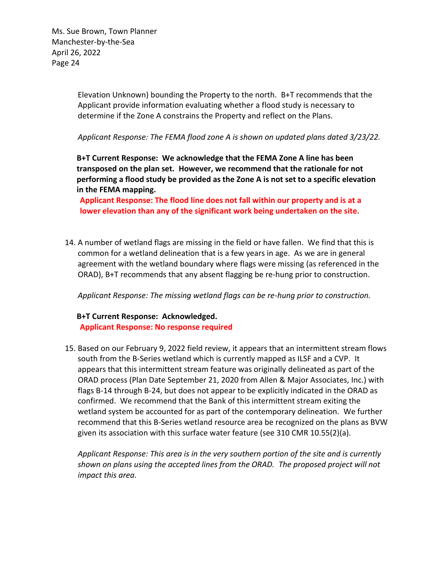> Elevation Unknown) bounding the Property to the north. B+T recommends that the Applicant provide information evaluating whether a flood study is necessary to determine if the Zone A constrains the Property and reflect on the Plans.

*Applicant Response: The FEMA flood zone A is shown on updated plans dated 3/23/22.*

**B+T Current Response: We acknowledge that the FEMA Zone A line has been transposed on the plan set. However, we recommend that the rationale for not performing a flood study be provided as the Zone A is not set to a specific elevation in the FEMA mapping.**

**Applicant Response: The flood line does not fall within our property and is at a lower elevation than any of the significant work being undertaken on the site.**

14. A number of wetland flags are missing in the field or have fallen. We find that this is common for a wetland delineation that is a few years in age. As we are in general agreement with the wetland boundary where flags were missing (as referenced in the ORAD), B+T recommends that any absent flagging be re-hung prior to construction.

*Applicant Response: The missing wetland flags can be re-hung prior to construction.*

### **B+T Current Response: Acknowledged. Applicant Response: No response required**

15. Based on our February 9, 2022 field review, it appears that an intermittent stream flows south from the B-Series wetland which is currently mapped as ILSF and a CVP. It appears that this intermittent stream feature was originally delineated as part of the ORAD process (Plan Date September 21, 2020 from Allen & Major Associates, Inc.) with flags B-14 through B-24, but does not appear to be explicitly indicated in the ORAD as confirmed. We recommend that the Bank of this intermittent stream exiting the wetland system be accounted for as part of the contemporary delineation. We further recommend that this B-Series wetland resource area be recognized on the plans as BVW given its association with this surface water feature (see 310 CMR 10.55(2)(a).

*Applicant Response: This area is in the very southern portion of the site and is currently shown on plans using the accepted lines from the ORAD. The proposed project will not impact this area.*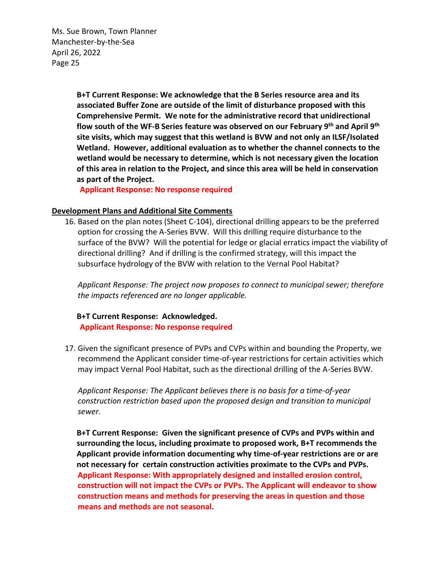> **B+T Current Response: We acknowledge that the B Series resource area and its associated Buffer Zone are outside of the limit of disturbance proposed with this Comprehensive Permit. We note for the administrative record that unidirectional flow south of the WF-B Series feature was observed on our February 9th and April 9th site visits, which may suggest that this wetland is BVW and not only an ILSF/Isolated Wetland. However, additional evaluation as to whether the channel connects to the wetland would be necessary to determine, which is not necessary given the location of this area in relation to the Project, and since this area will be held in conservation as part of the Project.**

**Applicant Response: No response required**

#### **Development Plans and Additional Site Comments**

16. Based on the plan notes (Sheet C-104), directional drilling appears to be the preferred option for crossing the A-Series BVW. Will this drilling require disturbance to the surface of the BVW? Will the potential for ledge or glacial erratics impact the viability of directional drilling? And if drilling is the confirmed strategy, will this impact the subsurface hydrology of the BVW with relation to the Vernal Pool Habitat?

*Applicant Response: The project now proposes to connect to municipal sewer; therefore the impacts referenced are no longer applicable.*

#### **B+T Current Response: Acknowledged. Applicant Response: No response required**

17. Given the significant presence of PVPs and CVPs within and bounding the Property, we recommend the Applicant consider time-of-year restrictions for certain activities which may impact Vernal Pool Habitat, such as the directional drilling of the A-Series BVW.

*Applicant Response: The Applicant believes there is no basis for a time-of-year construction restriction based upon the proposed design and transition to municipal sewer.*

**B+T Current Response: Given the significant presence of CVPs and PVPs within and surrounding the locus, including proximate to proposed work, B+T recommends the Applicant provide information documenting why time-of-year restrictions are or are not necessary for certain construction activities proximate to the CVPs and PVPs. Applicant Response: With appropriately designed and installed erosion control, construction will not impact the CVPs or PVPs. The Applicant will endeavor to show construction means and methods for preserving the areas in question and those means and methods are not seasonal.**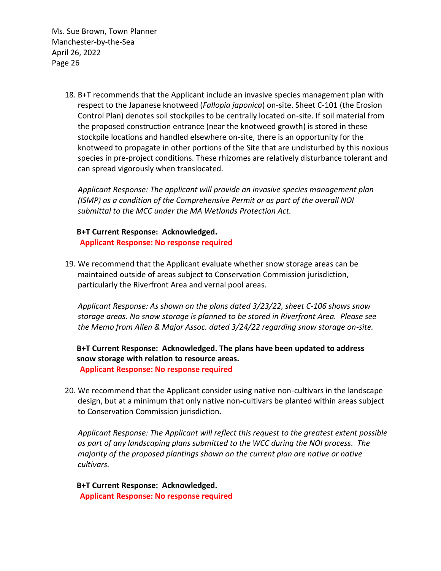> 18. B+T recommends that the Applicant include an invasive species management plan with respect to the Japanese knotweed (*Fallopia japonica*) on-site. Sheet C-101 (the Erosion Control Plan) denotes soil stockpiles to be centrally located on-site. If soil material from the proposed construction entrance (near the knotweed growth) is stored in these stockpile locations and handled elsewhere on-site, there is an opportunity for the knotweed to propagate in other portions of the Site that are undisturbed by this noxious species in pre-project conditions. These rhizomes are relatively disturbance tolerant and can spread vigorously when translocated.

*Applicant Response: The applicant will provide an invasive species management plan (ISMP) as a condition of the Comprehensive Permit or as part of the overall NOI submittal to the MCC under the MA Wetlands Protection Act.*

# **B+T Current Response: Acknowledged. Applicant Response: No response required**

19. We recommend that the Applicant evaluate whether snow storage areas can be maintained outside of areas subject to Conservation Commission jurisdiction, particularly the Riverfront Area and vernal pool areas.

*Applicant Response: As shown on the plans dated 3/23/22, sheet C-106 shows snow storage areas. No snow storage is planned to be stored in Riverfront Area. Please see the Memo from Allen & Major Assoc. dated 3/24/22 regarding snow storage on-site.*

# **B+T Current Response: Acknowledged. The plans have been updated to address snow storage with relation to resource areas. Applicant Response: No response required**

20. We recommend that the Applicant consider using native non-cultivars in the landscape design, but at a minimum that only native non-cultivars be planted within areas subject to Conservation Commission jurisdiction.

*Applicant Response: The Applicant will reflect this request to the greatest extent possible as part of any landscaping plans submitted to the WCC during the NOI process. The majority of the proposed plantings shown on the current plan are native or native cultivars.*

**B+T Current Response: Acknowledged. Applicant Response: No response required**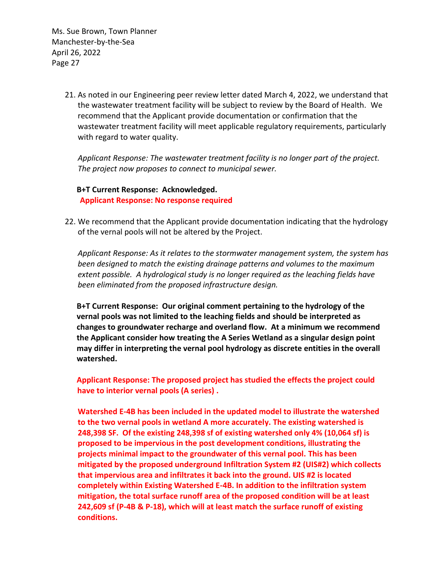> 21. As noted in our Engineering peer review letter dated March 4, 2022, we understand that the wastewater treatment facility will be subject to review by the Board of Health. We recommend that the Applicant provide documentation or confirmation that the wastewater treatment facility will meet applicable regulatory requirements, particularly with regard to water quality.

*Applicant Response: The wastewater treatment facility is no longer part of the project. The project now proposes to connect to municipal sewer.*

**B+T Current Response: Acknowledged. Applicant Response: No response required**

22. We recommend that the Applicant provide documentation indicating that the hydrology of the vernal pools will not be altered by the Project.

*Applicant Response: As it relates to the stormwater management system, the system has been designed to match the existing drainage patterns and volumes to the maximum extent possible. A hydrological study is no longer required as the leaching fields have been eliminated from the proposed infrastructure design.*

**B+T Current Response: Our original comment pertaining to the hydrology of the vernal pools was not limited to the leaching fields and should be interpreted as changes to groundwater recharge and overland flow. At a minimum we recommend the Applicant consider how treating the A Series Wetland as a singular design point may differ in interpreting the vernal pool hydrology as discrete entities in the overall watershed.**

**Applicant Response: The proposed project has studied the effects the project could have to interior vernal pools (A series) .** 

**Watershed E-4B has been included in the updated model to illustrate the watershed to the two vernal pools in wetland A more accurately. The existing watershed is 248,398 SF. Of the existing 248,398 sf of existing watershed only 4% (10,064 sf) is proposed to be impervious in the post development conditions, illustrating the projects minimal impact to the groundwater of this vernal pool. This has been mitigated by the proposed underground Infiltration System #2 (UIS#2) which collects that impervious area and infiltrates it back into the ground. UIS #2 is located completely within Existing Watershed E-4B. In addition to the infiltration system mitigation, the total surface runoff area of the proposed condition will be at least 242,609 sf (P-4B & P-18), which will at least match the surface runoff of existing conditions.**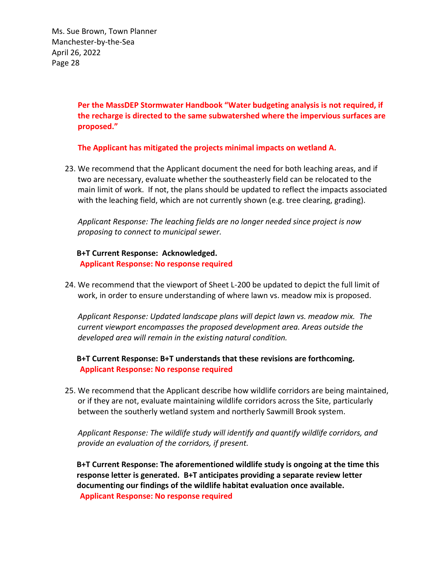> **Per the MassDEP Stormwater Handbook "Water budgeting analysis is not required, if the recharge is directed to the same subwatershed where the impervious surfaces are proposed."**

**The Applicant has mitigated the projects minimal impacts on wetland A.** 

23. We recommend that the Applicant document the need for both leaching areas, and if two are necessary, evaluate whether the southeasterly field can be relocated to the main limit of work. If not, the plans should be updated to reflect the impacts associated with the leaching field, which are not currently shown (e.g. tree clearing, grading).

*Applicant Response: The leaching fields are no longer needed since project is now proposing to connect to municipal sewer.*

**B+T Current Response: Acknowledged. Applicant Response: No response required**

24. We recommend that the viewport of Sheet L-200 be updated to depict the full limit of work, in order to ensure understanding of where lawn vs. meadow mix is proposed.

*Applicant Response: Updated landscape plans will depict lawn vs. meadow mix. The current viewport encompasses the proposed development area. Areas outside the developed area will remain in the existing natural condition.*

**B+T Current Response: B+T understands that these revisions are forthcoming. Applicant Response: No response required**

25. We recommend that the Applicant describe how wildlife corridors are being maintained, or if they are not, evaluate maintaining wildlife corridors across the Site, particularly between the southerly wetland system and northerly Sawmill Brook system.

*Applicant Response: The wildlife study will identify and quantify wildlife corridors, and provide an evaluation of the corridors, if present.*

**B+T Current Response: The aforementioned wildlife study is ongoing at the time this response letter is generated. B+T anticipates providing a separate review letter documenting our findings of the wildlife habitat evaluation once available. Applicant Response: No response required**